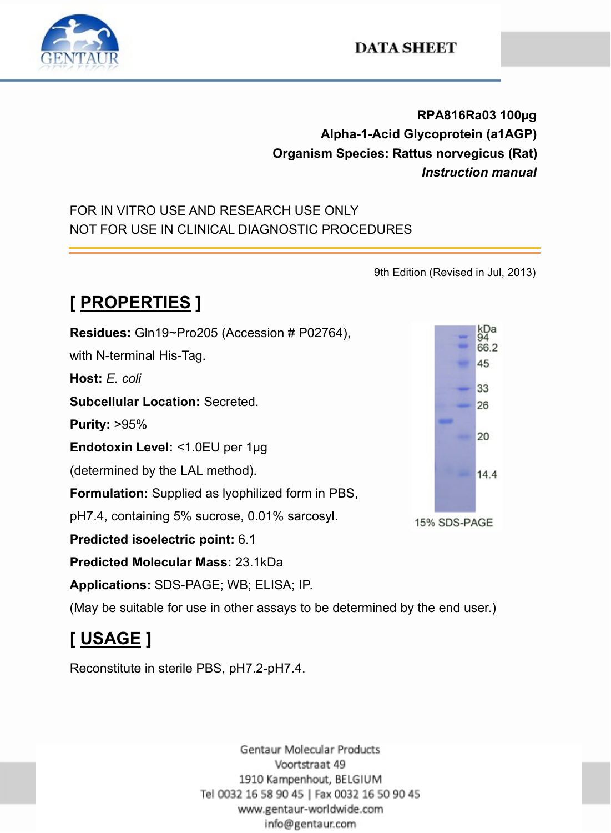

#### **DATA SHEET**

**RPA816Ra03 100µg Alpha-1-Acid Glycoprotein (a1AGP) Organism Species: Rattus norvegicus (Rat)** *Instruction manual*

#### FOR IN VITRO USE AND RESEARCH USE ONLY NOT FOR USE IN CLINICAL DIAGNOSTIC PROCEDURES

9th Edition (Revised in Jul, 2013)

### **[ PROPERTIES ]**

**Residues:** Gln19~Pro205 (Accession # P02764), with N-terminal His-Tag. **Host:** *E. coli* **Subcellular Location:** Secreted. **Purity:** >95% **Endotoxin Level:** <1.0EU per 1μg (determined by the LAL method). **Formulation:** Supplied as lyophilized form in PBS, pH7.4, containing 5% sucrose, 0.01% sarcosyl. **Predicted isoelectric point:** 6.1 **Predicted Molecular Mass:** 23.1kDa **Applications:** SDS-PAGE; WB; ELISA; IP. (May be suitable for use in other assays to be determined by the end user.)

## **[ USAGE ]**

Reconstitute in sterile PBS, pH7.2-pH7.4.

Gentaur Molecular Products Voortstraat 49 1910 Kampenhout, BELGIUM Tel 0032 16 58 90 45 | Fax 0032 16 50 90 45 www.gentaur-worldwide.com info@gentaur.com